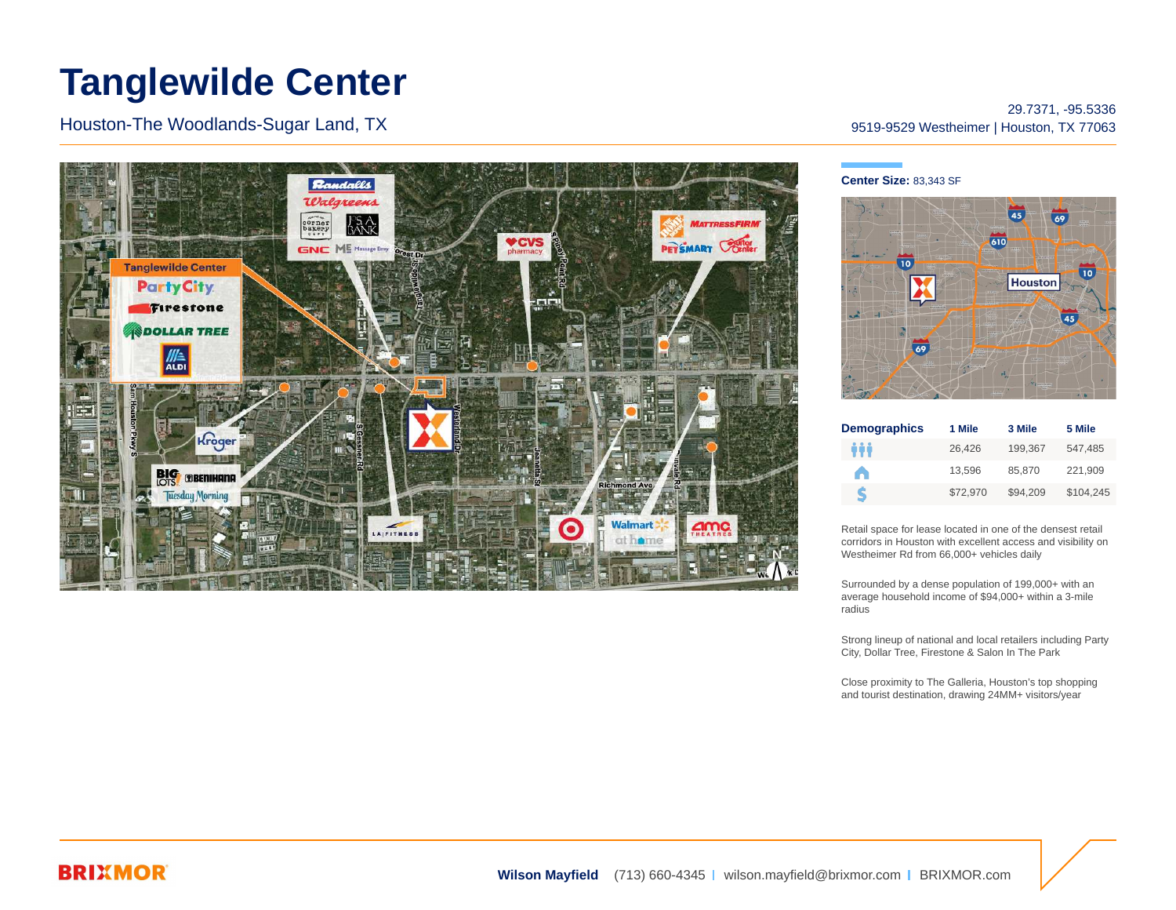# **Tanglewilde Center**

Houston-The Woodlands-Sugar Land, TX



### 29.7371, -95.5336 9519-9529 Westheimer | Houston, TX 77063

#### **Center Size:** 83,343 SF



| <b>Demographics</b> | 1 Mile   | 3 Mile   | 5 Mile    |
|---------------------|----------|----------|-----------|
| ÷÷                  | 26,426   | 199.367  | 547,485   |
| A                   | 13.596   | 85,870   | 221,909   |
| ς                   | \$72.970 | \$94.209 | \$104,245 |

Retail space for lease located in one of the densest retail corridors in Houston with excellent access and visibility on Westheimer Rd from 66,000+ vehicles daily

Surrounded by a dense population of 199,000+ with an average household income of \$94,000+ within a 3-mile radius

Strong lineup of national and local retailers including Party City, Dollar Tree, Firestone & Salon In The Park

Close proximity to The Galleria, Houston's top shopping and tourist destination, drawing 24MM+ visitors/year

## **BRIXMOR**